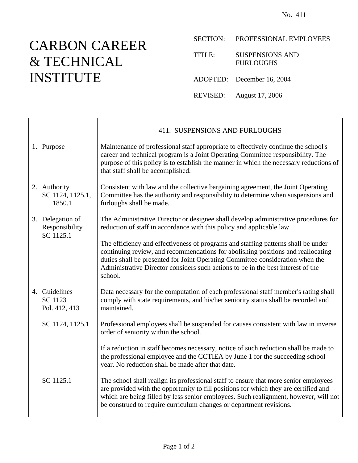## CARBON CAREER & TECHNICAL INSTITUTE

Ē

SECTION: PROFESSIONAL EMPLOYEES

TITLE: SUSPENSIONS AND FURLOUGHS

ADOPTED: December 16, 2004

REVISED: August 17, 2006

|  |                                                  | 411. SUSPENSIONS AND FURLOUGHS                                                                                                                                                                                                                                                                                                                         |
|--|--------------------------------------------------|--------------------------------------------------------------------------------------------------------------------------------------------------------------------------------------------------------------------------------------------------------------------------------------------------------------------------------------------------------|
|  | 1. Purpose                                       | Maintenance of professional staff appropriate to effectively continue the school's<br>career and technical program is a Joint Operating Committee responsibility. The<br>purpose of this policy is to establish the manner in which the necessary reductions of<br>that staff shall be accomplished.                                                   |
|  | 2. Authority<br>SC 1124, 1125.1,<br>1850.1       | Consistent with law and the collective bargaining agreement, the Joint Operating<br>Committee has the authority and responsibility to determine when suspensions and<br>furloughs shall be made.                                                                                                                                                       |
|  | 3. Delegation of<br>Responsibility<br>SC 1125.1  | The Administrative Director or designee shall develop administrative procedures for<br>reduction of staff in accordance with this policy and applicable law.                                                                                                                                                                                           |
|  |                                                  | The efficiency and effectiveness of programs and staffing patterns shall be under<br>continuing review, and recommendations for abolishing positions and reallocating<br>duties shall be presented for Joint Operating Committee consideration when the<br>Administrative Director considers such actions to be in the best interest of the<br>school. |
|  | 4. Guidelines<br><b>SC 1123</b><br>Pol. 412, 413 | Data necessary for the computation of each professional staff member's rating shall<br>comply with state requirements, and his/her seniority status shall be recorded and<br>maintained.                                                                                                                                                               |
|  | SC 1124, 1125.1                                  | Professional employees shall be suspended for causes consistent with law in inverse<br>order of seniority within the school.                                                                                                                                                                                                                           |
|  |                                                  | If a reduction in staff becomes necessary, notice of such reduction shall be made to<br>the professional employee and the CCTIEA by June 1 for the succeeding school<br>year. No reduction shall be made after that date.                                                                                                                              |
|  | SC 1125.1                                        | The school shall realign its professional staff to ensure that more senior employees<br>are provided with the opportunity to fill positions for which they are certified and<br>which are being filled by less senior employees. Such realignment, however, will not<br>be construed to require curriculum changes or department revisions.            |